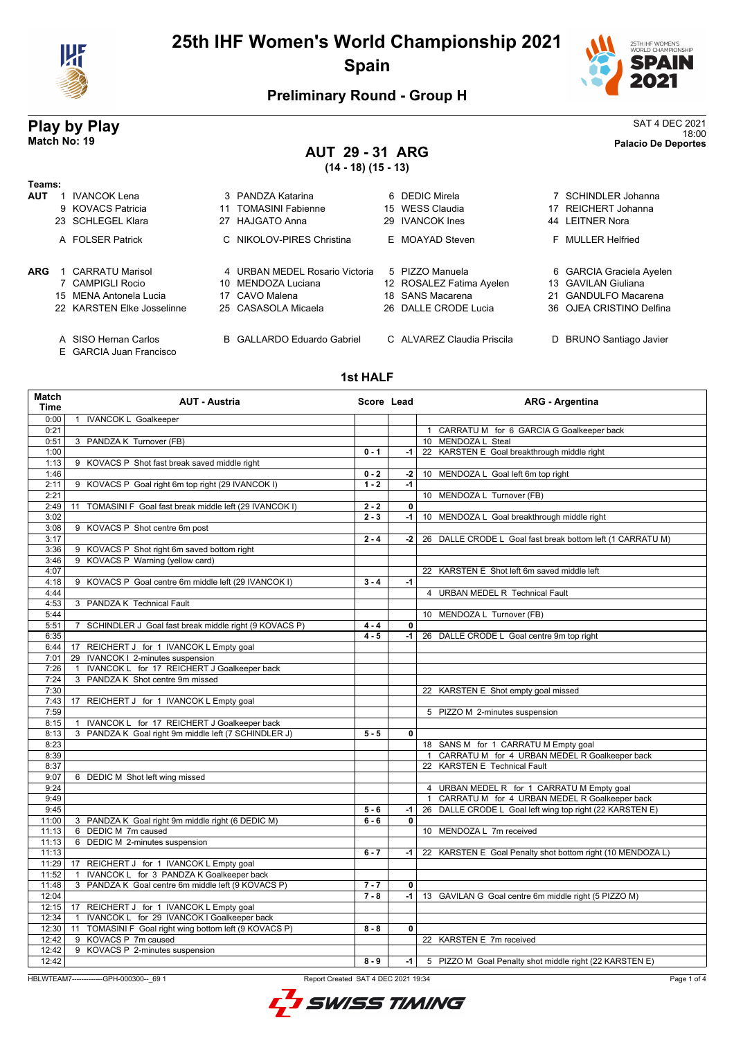

# **25th IHF Women's World Championship 2021 Spain**



### **Preliminary Round - Group H**

# **Play by Play** SAT 4 DEC 2021<br>Match No: 19<br>Palacio De Pereries

### **AUT 29 - 31 ARG (14 - 18) (15 - 13)**

**1st HALF**

**Teams:**

- -
	-
	-
- 
- 
- 
- 
- 
- E GARCIA Juan Francisco
- A SISO Hernan Carlos **B** GALLARDO Eduardo Gabriel C ALVAREZ Claudia Priscila D BRUNO Santiago Javier
- A FOLSER Patrick C NIKOLOV-PIRES Christina E MOAYAD Steven F MULLER Helfried **ARG** 1 CARRATU Marisol **4 URBAN MEDEL Rosario Victoria** 5 PIZZO Manuela 6 GARCIA Graciela Ayelen 7 CAMPIGLI Rocio 10 MENDOZA Luciana 12 ROSALEZ Fatima Ayelen 13 GAVILAN Giuliana 15 MENA Antonela Lucia 17 CAVO Malena 18 SANS Macarena 21 GANDULFO Macarena 22 KARSTEN Elke Josselinne 25 CASASOLA Micaela 26 DALLE CRODE Lucia 36 OJEA CRISTINO Delfina
- 18:00 **Match No: 19 Palacio De Deportes**
- **AUT** 1 IVANCOK Lena **3 PANDZA Katarina** 6 DEDIC Mirela **7 SCHINDLER Johanna** 9 KOVACS Patricia 11 TOMASINI Fabienne 15 WESS Claudia 17 REICHERT Johanna 23 SCHLEGEL Klara 27 HAJGATO Anna 29 IVANCOK Ines 44 LEITNER Nora

#### **Match Time AUT - Austria Score Lead ARG - Argentina** 0:00 | 1 IVANCOK L Goalkeeper 0:21 **1 CARRATU M** for 6 GARCIA G Goalkeeper back 0:51 3 PANDZA K Turnover (FB) 10 MENDOZA L Steal<br>100 10 1 - 10 MENDOZA L Steal<br>100 1 - 100 1 - 100 KARSTEN E Goal 1:00 **0 - 1 -1** 22 KARSTEN E Goal breakthrough middle right 9 KOVACS P Shot fast break saved middle right 1:46 **0 - 2 -2** 10 MENDOZA L Goal left 6m top right 2:11 9 KOVACS P Goal right 6m top right (29 IVANCOK I) **1 - 2 -1** 2:21 10 MENDOZA L Turnover (FB)<br>2:49 11 TOMASINI F Goal fast break middle left (29 IVANCOK I) 2:2 0 2:49 11 TOMASINI F Goal fast break middle left (29 IVANCOK I) **2 - 2 0** 3:02 **2 - 3 -1** 10 MENDOZA L Goal breakthrough middle right 3:08 9 KOVACS P Shot centre 6m post 3:17 **2 - 4 -2** 26 DALLE CRODE L Goal fast break bottom left (1 CARRATU M) 3:36 9 KOVACS P Shot right 6m saved bottom right 9 KOVACS P Shot right 6m saved bottom right 3:46 9 KOVACS P Warning (yellow card)<br>4:07 22 KARSTEN E Shot left 6m saved middle left 4:18 9 KOVACS P Goal centre 6m middle left (29 IVANCOK I) **3 - 4 -1** 4:44 4 URBAN MEDEL R Technical Fault 4:53 3 PANDZA K Technical Fault 5:44 10 MENDOZA L Turnover (FB) 5:51 7 SCHINDLER J Goal fast break middle right (9 KOVACS P) **4 - 4 0** 6:35 **4 - 5 -1** 26 DALLE CRODE L Goal centre 9m top right 6:44 17 REICHERT J for 1 IVANCOK L Empty goal 7:01 29 IVANCOK I 2-minutes suspension 7:26 1 IVANCOK L for 17 REICHERT J Goalkeeper back 7:24 3 PANDZA K Shot centre 9m missed 7:30 | 22 KARSTEN E Shot empty goal missed 7:43 17 REICHERT J for 1 IVANCOK L Empty goal 7:59 5 PIZZO M 2-minutes suspension 8:15 1 IVANCOK L for 17 REICHERT J Goalkeeper back<br>8:13 3 PANDZA K Goal right 9m middle left (7 SCHINDLEF 8:13 3 PANDZA K Goal right 9m middle left (7 SCHINDLER J) **5 - 5 0** 8:23 **1** 18 SANS M for 1 CARRATU M Empty goal 8:39 1 CARRATU M for 4 URBAN MEDEL R Goalkeeper back 8:37 22 KARSTEN E Technical Fault 9:07 6 DEDIC M Shot left wing missed 9:24 **4 URBAN MEDEL R for 1 CARRATU M Empty goal** 9:49 1 CARRATU M for 4 URBAN MEDEL R Goalkeeper back 9:45 **5 - 6 -1** 26 DALLE CRODE L Goal left wing top right (22 KARSTEN E) 11:00 3 PANDZA K Goal right 9m middle right (6 DEDIC M) **6 - 6 0** 11:13 6 DEDIC M 7m caused 10 MENDOZA L 7m received 11:13 6 DEDIC M 2-minutes suspension 11:13 **6 - 7 1** 22 KARSTEN E Goal Penalty shot bottom right (10 MENDOZA L) 11:29 17 REICHERT J for 1 IVANCOK L Empty goal 11:52 1 IVANCOK L for 3 PANDZA K Goalkeeper back 11:48 3 PANDZA K Goal centre 6m middle left (9 KOVACS P) **7 - 7 0** 12:04 **7 - 8 -1** 13 GAVILAN G Goal centre 6m middle right (5 PIZZO M) 12:15 17 REICHERT J for 1 IVANCOK L Empty goal 12:34 1 IVANCOK L for 29 IVANCOK I Goalkeeper back 12:30 11 TOMASINI F Goal right wing bottom left (9 KOVACS P) **8 - 8 0** 12:42 9 KOVACS P 7m caused 22 KARSTEN E 7m received 12:42 9 KOVACS P 2-minutes suspension 12:42 **8 - 9 -1** 5 PIZZO M Goal Penalty shot middle right (22 KARSTEN E)

HBLWTEAM7-------------GPH-000300--\_69 1 Report Created SAT 4 DEC 2021 19:34

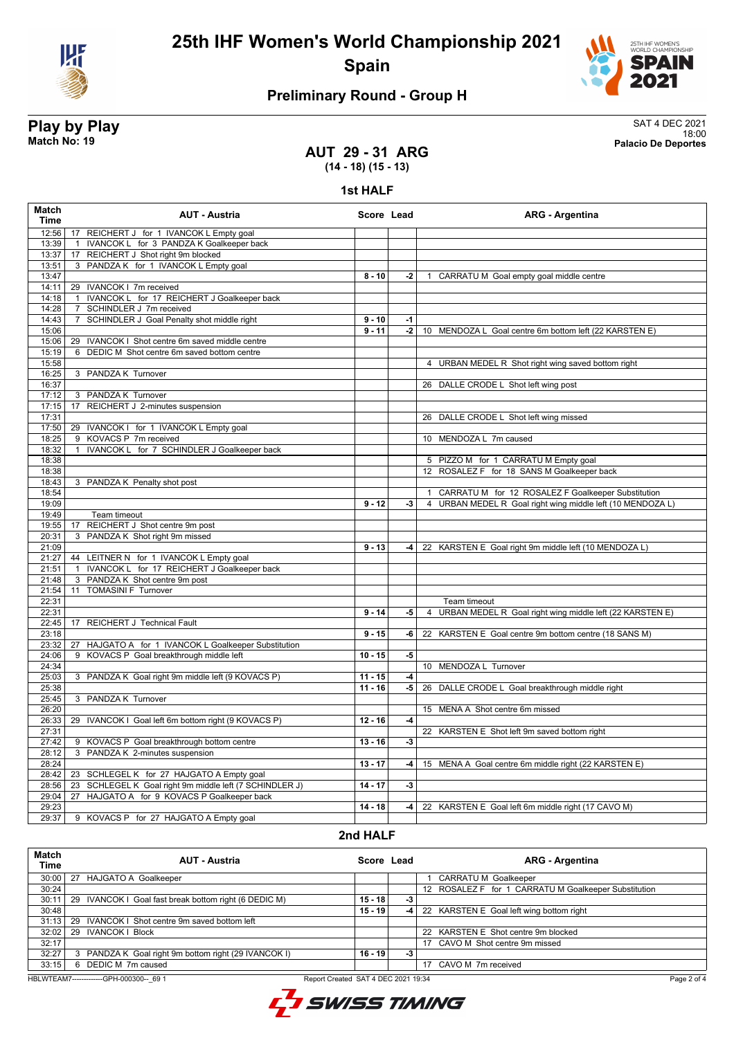



# **Preliminary Round - Group H**

**Play by Play** SAT 4 DEC 2021 18:00 **Match No: 19 Palacio De Deportes**

### **AUT 29 - 31 ARG (14 - 18) (15 - 13)**

**1st HALF**

| Match<br>Time  | <b>AUT - Austria</b>                                         | Score Lead |      | <b>ARG - Argentina</b>                                     |
|----------------|--------------------------------------------------------------|------------|------|------------------------------------------------------------|
| 12:56          | 17 REICHERT J for 1 IVANCOK L Empty goal                     |            |      |                                                            |
| 13:39          | IVANCOK L for 3 PANDZA K Goalkeeper back<br>$\overline{1}$   |            |      |                                                            |
| 13:37          | 17 REICHERT J Shot right 9m blocked                          |            |      |                                                            |
| 13:51          | 3 PANDZA K for 1 IVANCOK L Empty goal                        |            |      |                                                            |
| 13:47          |                                                              | $8 - 10$   | $-2$ | 1 CARRATU M Goal empty goal middle centre                  |
| 14:11          | 29 IVANCOK I 7m received                                     |            |      |                                                            |
| 14:18          | 1 IVANCOK L for 17 REICHERT J Goalkeeper back                |            |      |                                                            |
| 14:28          | 7 SCHINDLER J 7m received                                    |            |      |                                                            |
| 14:43          | SCHINDLER J Goal Penalty shot middle right<br>$\overline{7}$ | $9 - 10$   | $-1$ |                                                            |
| 15:06          |                                                              | $9 - 11$   | $-2$ | 10 MENDOZA L Goal centre 6m bottom left (22 KARSTEN E)     |
| 15:06          | 29 IVANCOK I Shot centre 6m saved middle centre              |            |      |                                                            |
| 15:19          | 6 DEDIC M Shot centre 6m saved bottom centre                 |            |      |                                                            |
| 15:58          |                                                              |            |      | 4 URBAN MEDEL R Shot right wing saved bottom right         |
| 16:25          | 3 PANDZA K Turnover                                          |            |      |                                                            |
| 16:37<br>17:12 | 3 PANDZA K Turnover                                          |            |      | 26 DALLE CRODE L Shot left wing post                       |
| 17:15          | 17 REICHERT J 2-minutes suspension                           |            |      |                                                            |
| 17:31          |                                                              |            |      | 26 DALLE CRODE L Shot left wing missed                     |
| 17:50          | 29 IVANCOK I for 1 IVANCOK L Empty goal                      |            |      |                                                            |
| 18:25          | 9 KOVACS P 7m received                                       |            |      | 10 MENDOZA L 7m caused                                     |
| 18:32          | 1 IVANCOK L for 7 SCHINDLER J Goalkeeper back                |            |      |                                                            |
| 18:38          |                                                              |            |      | 5 PIZZO M for 1 CARRATU M Empty goal                       |
| 18:38          |                                                              |            |      | 12 ROSALEZ F for 18 SANS M Goalkeeper back                 |
| 18:43          | 3 PANDZA K Penalty shot post                                 |            |      |                                                            |
| 18:54          |                                                              |            |      | 1 CARRATU M for 12 ROSALEZ F Goalkeeper Substitution       |
| 19:09          |                                                              | $9 - 12$   | $-3$ | 4 URBAN MEDEL R Goal right wing middle left (10 MENDOZA L) |
| 19:49          | Team timeout                                                 |            |      |                                                            |
| 19:55          | REICHERT J Shot centre 9m post<br>17                         |            |      |                                                            |
| 20:31          | 3 PANDZA K Shot right 9m missed                              |            |      |                                                            |
| 21:09          |                                                              | $9 - 13$   | -4 l | 22 KARSTEN E Goal right 9m middle left (10 MENDOZA L)      |
| 21:27          | 44 LEITNER N for 1 IVANCOK L Empty goal                      |            |      |                                                            |
| 21:51          | 1 IVANCOK L for 17 REICHERT J Goalkeeper back                |            |      |                                                            |
| 21:48          | 3 PANDZA K Shot centre 9m post                               |            |      |                                                            |
| 21:54          | 11 TOMASINI F Turnover                                       |            |      |                                                            |
| 22:31          |                                                              |            |      | Team timeout                                               |
| 22:31          |                                                              | $9 - 14$   | -5   | 4 URBAN MEDEL R Goal right wing middle left (22 KARSTEN E) |
| 22:45          | 17 REICHERT J Technical Fault                                |            |      |                                                            |
| 23:18          |                                                              | $9 - 15$   | $-6$ | 22 KARSTEN E Goal centre 9m bottom centre (18 SANS M)      |
| 23:32          | 27 HAJGATO A for 1 IVANCOK L Goalkeeper Substitution         |            |      |                                                            |
| 24:06          | 9 KOVACS P Goal breakthrough middle left                     | $10 - 15$  | -5   |                                                            |
| 24:34          |                                                              |            |      | 10 MENDOZA L Turnover                                      |
| 25:03          | 3 PANDZA K Goal right 9m middle left (9 KOVACS P)            | $11 - 15$  | -4   |                                                            |
| 25:38          |                                                              | $11 - 16$  | $-5$ | 26 DALLE CRODE L Goal breakthrough middle right            |
| 25:45          | 3 PANDZA K Turnover                                          |            |      |                                                            |
| 26:20          |                                                              |            |      | 15 MENA A Shot centre 6m missed                            |
| 26:33          | 29 IVANCOK I Goal left 6m bottom right (9 KOVACS P)          | $12 - 16$  | $-4$ |                                                            |
| 27:31          |                                                              |            |      | 22 KARSTEN E Shot left 9m saved bottom right               |
| 27:42          | 9 KOVACS P Goal breakthrough bottom centre                   | $13 - 16$  | $-3$ |                                                            |
| 28:12          | 3 PANDZA K 2-minutes suspension                              |            |      |                                                            |
| 28:24          |                                                              | $13 - 17$  | $-4$ | 15 MENA A Goal centre 6m middle right (22 KARSTEN E)       |
| 28:42          | 23 SCHLEGEL K for 27 HAJGATO A Empty goal                    |            |      |                                                            |
| 28:56          | 23 SCHLEGEL K Goal right 9m middle left (7 SCHINDLER J)      | $14 - 17$  | $-3$ |                                                            |
| 29:04          | 27 HAJGATO A for 9 KOVACS P Goalkeeper back                  |            |      |                                                            |
| 29:23          |                                                              | $14 - 18$  | $-4$ | 22 KARSTEN E Goal left 6m middle right (17 CAVO M)         |
| 29:37          | 9 KOVACS P for 27 HAJGATO A Empty goal                       |            |      |                                                            |

### **2nd HALF**

| Match<br>Time | <b>AUT - Austria</b>                                  | Score Lead                          |      | <b>ARG - Argentina</b>                               |             |
|---------------|-------------------------------------------------------|-------------------------------------|------|------------------------------------------------------|-------------|
| 30:00         | 27 HAJGATO A Goalkeeper                               |                                     |      | <b>CARRATU M Goalkeeper</b>                          |             |
| 30:24         |                                                       |                                     |      | 12 ROSALEZ F for 1 CARRATU M Goalkeeper Substitution |             |
| 30:11         | 29 IVANCOK I Goal fast break bottom right (6 DEDIC M) | $15 - 18$                           | -3   |                                                      |             |
| 30:48         |                                                       | $15 - 19$                           | -4 1 | 22 KARSTEN E Goal left wing bottom right             |             |
| 31:13         | 29 IVANCOK I Shot centre 9m saved bottom left         |                                     |      |                                                      |             |
| 32:02         | 29 IVANCOK I Block                                    |                                     |      | 22 KARSTEN E Shot centre 9m blocked                  |             |
| 32:17         |                                                       |                                     |      | 17 CAVO M Shot centre 9m missed                      |             |
| 32:27         | 3 PANDZA K Goal right 9m bottom right (29 IVANCOK I)  | $16 - 19$                           | -3   |                                                      |             |
| 33:15         | 6 DEDIC M 7m caused                                   |                                     |      | 17 CAVO M 7m received                                |             |
|               | HBLWTEAM7-------------GPH-000300-- 69 1               | Report Created SAT 4 DEC 2021 19:34 |      |                                                      | Page 2 of 4 |

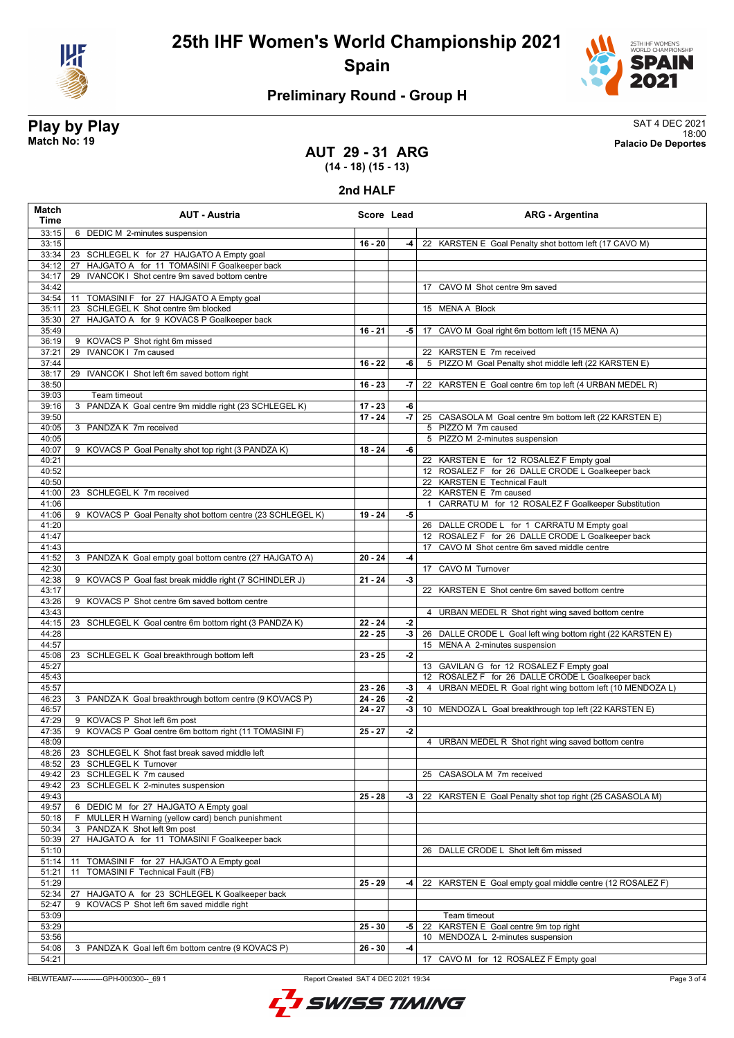



# **Preliminary Round - Group H**

**Play by Play**<br>Match No: 19<br>Palacio De Deportes 18:00 **Match No: 19 Palacio De Deportes**

### **AUT 29 - 31 ARG (14 - 18) (15 - 13)**

**2nd HALF**

| Match<br>Time  | <b>AUT - Austria</b>                                                                                 | Score Lead             |            | <b>ARG - Argentina</b>                                                                           |
|----------------|------------------------------------------------------------------------------------------------------|------------------------|------------|--------------------------------------------------------------------------------------------------|
| 33:15          | 6 DEDIC M 2-minutes suspension                                                                       |                        |            |                                                                                                  |
| 33:15          |                                                                                                      | $16 - 20$              | $-4$       | 22 KARSTEN E Goal Penalty shot bottom left (17 CAVO M)                                           |
| 33:34          | 23 SCHLEGEL K for 27 HAJGATO A Empty goal                                                            |                        |            |                                                                                                  |
| 34:12<br>34:17 | HAJGATO A for 11 TOMASINI F Goalkeeper back<br>27<br>29 IVANCOK I Shot centre 9m saved bottom centre |                        |            |                                                                                                  |
| 34:42          |                                                                                                      |                        |            | 17 CAVO M Shot centre 9m saved                                                                   |
| 34:54          | TOMASINI F for 27 HAJGATO A Empty goal<br>11                                                         |                        |            |                                                                                                  |
| 35:11          | 23 SCHLEGEL K Shot centre 9m blocked                                                                 |                        |            | 15 MENA A Block                                                                                  |
| 35:30          | HAJGATO A for 9 KOVACS P Goalkeeper back<br>27                                                       |                        |            |                                                                                                  |
| 35:49          |                                                                                                      | $16 - 21$              | -5         | CAVO M Goal right 6m bottom left (15 MENA A)<br>17                                               |
| 36:19          | 9 KOVACS P Shot right 6m missed                                                                      |                        |            |                                                                                                  |
| 37:21          | 29 IVANCOK   7m caused                                                                               |                        |            | 22 KARSTEN E 7m received                                                                         |
| 37:44          |                                                                                                      | $16 - 22$              | -6         | 5 PIZZO M Goal Penalty shot middle left (22 KARSTEN E)                                           |
| 38:17          | 29 IVANCOK I Shot left 6m saved bottom right                                                         |                        |            |                                                                                                  |
| 38:50<br>39:03 | Team timeout                                                                                         | $16 - 23$              | -7         | 22 KARSTEN E Goal centre 6m top left (4 URBAN MEDEL R)                                           |
| 39:16          | 3 PANDZA K Goal centre 9m middle right (23 SCHLEGEL K)                                               | $17 - 23$              | -6         |                                                                                                  |
| 39:50          |                                                                                                      | $17 - 24$              | -7         | 25 CASASOLA M Goal centre 9m bottom left (22 KARSTEN E)                                          |
| 40:05          | 3 PANDZA K 7m received                                                                               |                        |            | 5 PIZZO M 7m caused                                                                              |
| 40:05          |                                                                                                      |                        |            | 5 PIZZO M 2-minutes suspension                                                                   |
| 40:07          | 9 KOVACS P Goal Penalty shot top right (3 PANDZA K)                                                  | $18 - 24$              | -6         |                                                                                                  |
| 40:21          |                                                                                                      |                        |            | 22 KARSTEN E for 12 ROSALEZ F Empty goal                                                         |
| 40:52          |                                                                                                      |                        |            | 12 ROSALEZ F for 26 DALLE CRODE L Goalkeeper back                                                |
| 40:50          |                                                                                                      |                        |            | 22 KARSTEN E Technical Fault                                                                     |
| 41:00          | 23 SCHLEGEL K 7m received                                                                            |                        |            | 22 KARSTEN E 7m caused                                                                           |
| 41:06          |                                                                                                      |                        |            | 1 CARRATU M for 12 ROSALEZ F Goalkeeper Substitution                                             |
| 41:06<br>41:20 | 9 KOVACS P Goal Penalty shot bottom centre (23 SCHLEGEL K)                                           | 19 - 24                | -5         |                                                                                                  |
| 41:47          |                                                                                                      |                        |            | 26 DALLE CRODE L for 1 CARRATU M Empty goal<br>12 ROSALEZ F for 26 DALLE CRODE L Goalkeeper back |
| 41:43          |                                                                                                      |                        |            | 17 CAVO M Shot centre 6m saved middle centre                                                     |
| 41:52          | 3 PANDZA K Goal empty goal bottom centre (27 HAJGATO A)                                              | $20 - 24$              | -4         |                                                                                                  |
| 42:30          |                                                                                                      |                        |            | 17 CAVO M Turnover                                                                               |
| 42:38          | 9 KOVACS P Goal fast break middle right (7 SCHINDLER J)                                              | $21 - 24$              | $-3$       |                                                                                                  |
| 43:17          |                                                                                                      |                        |            | 22 KARSTEN E Shot centre 6m saved bottom centre                                                  |
| 43:26          | 9 KOVACS P Shot centre 6m saved bottom centre                                                        |                        |            |                                                                                                  |
| 43:43          |                                                                                                      |                        |            | 4 URBAN MEDEL R Shot right wing saved bottom centre                                              |
| 44:15<br>44:28 | 23 SCHLEGEL K Goal centre 6m bottom right (3 PANDZA K)                                               | $22 - 24$<br>$22 - 25$ | -2<br>$-3$ | 26 DALLE CRODE L Goal left wing bottom right (22 KARSTEN E)                                      |
| 44:57          |                                                                                                      |                        |            | 15 MENA A 2-minutes suspension                                                                   |
| 45:08          | 23 SCHLEGEL K Goal breakthrough bottom left                                                          | $23 - 25$              | $-2$       |                                                                                                  |
| 45:27          |                                                                                                      |                        |            | 13 GAVILAN G for 12 ROSALEZ F Empty goal                                                         |
| 45:43          |                                                                                                      |                        |            | 12 ROSALEZ F for 26 DALLE CRODE L Goalkeeper back                                                |
| 45:57          |                                                                                                      | $23 - 26$              | -3         | 4 URBAN MEDEL R Goal right wing bottom left (10 MENDOZA L)                                       |
| 46:23          | 3 PANDZA K Goal breakthrough bottom centre (9 KOVACS P)                                              | $24 - 26$              | $-2$       |                                                                                                  |
| 46:57          |                                                                                                      | $24 - 27$              | $-3$       | 10 MENDOZA L Goal breakthrough top left (22 KARSTEN E)                                           |
| 47:29          | 9 KOVACS P Shot left 6m post                                                                         |                        |            |                                                                                                  |
| 47:35<br>48:09 | 9 KOVACS P Goal centre 6m bottom right (11 TOMASINI F)                                               | $25 - 27$              | $-2$       | 4 URBAN MEDEL R Shot right wing saved bottom centre                                              |
| 48:26          | 23 SCHLEGEL K Shot fast break saved middle left                                                      |                        |            |                                                                                                  |
| 48:52          | 23 SCHLEGEL K Turnover                                                                               |                        |            |                                                                                                  |
| 49:42          | 23 SCHLEGEL K 7m caused                                                                              |                        |            | 25 CASASOLA M 7m received                                                                        |
| 49:42          | SCHLEGEL K 2-minutes suspension<br>23                                                                |                        |            |                                                                                                  |
| 49:43          |                                                                                                      | $25 - 28$              | -3         | KARSTEN E Goal Penalty shot top right (25 CASASOLA M)<br>22                                      |
| 49:57          | 6 DEDIC M for 27 HAJGATO A Empty goal                                                                |                        |            |                                                                                                  |
| 50:18          | F MULLER H Warning (yellow card) bench punishment                                                    |                        |            |                                                                                                  |
| 50:34          | 3 PANDZA K Shot left 9m post                                                                         |                        |            |                                                                                                  |
| 50:39          | HAJGATO A for 11 TOMASINI F Goalkeeper back<br>27                                                    |                        |            |                                                                                                  |
| 51:10<br>51:14 | TOMASINI F for 27 HAJGATO A Empty goal<br>11                                                         |                        |            | 26 DALLE CRODE L Shot left 6m missed                                                             |
| 51:21          | TOMASINI F Technical Fault (FB)<br>11                                                                |                        |            |                                                                                                  |
| 51:29          |                                                                                                      | $25 - 29$              | $-4$       | 22 KARSTEN E Goal empty goal middle centre (12 ROSALEZ F)                                        |
| 52:34          | HAJGATO A for 23 SCHLEGEL K Goalkeeper back<br>27                                                    |                        |            |                                                                                                  |
| 52:47          | 9 KOVACS P Shot left 6m saved middle right                                                           |                        |            |                                                                                                  |
| 53:09          |                                                                                                      |                        |            | Team timeout                                                                                     |
| 53:29          |                                                                                                      | $25 - 30$              | -5         | 22 KARSTEN E Goal centre 9m top right                                                            |
| 53:56          |                                                                                                      |                        |            | 10 MENDOZA L 2-minutes suspension                                                                |
| 54:08          | 3 PANDZA K Goal left 6m bottom centre (9 KOVACS P)                                                   | 26 - 30                | -4         |                                                                                                  |
| 54:21          |                                                                                                      |                        |            | 17 CAVO M for 12 ROSALEZ F Empty goal                                                            |

HBLWTEAM7-------------GPH-000300--\_69 1 Report Created SAT 4 DEC 2021 19:34